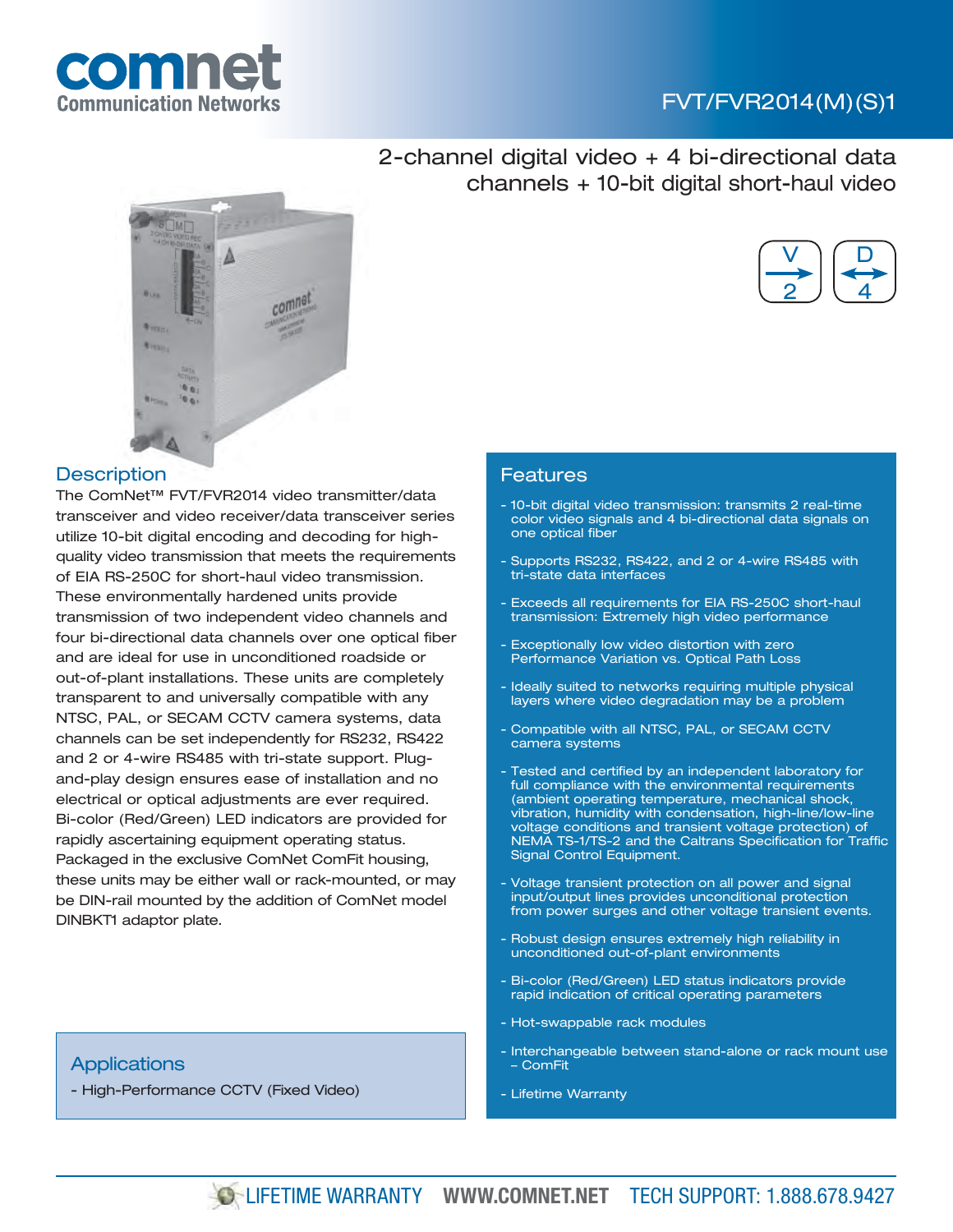

## FVT/FVR2014(M)(S)1



## **Description**

The ComNet™ FVT/FVR2014 video transmitter/data transceiver and video receiver/data transceiver series utilize 10-bit digital encoding and decoding for highquality video transmission that meets the requirements of EIA RS-250C for short-haul video transmission. These environmentally hardened units provide transmission of two independent video channels and four bi-directional data channels over one optical fiber and are ideal for use in unconditioned roadside or out-of-plant installations. These units are completely transparent to and universally compatible with any NTSC, PAL, or SECAM CCTV camera systems, data channels can be set independently for RS232, RS422 and 2 or 4-wire RS485 with tri-state support. Plugand-play design ensures ease of installation and no electrical or optical adjustments are ever required. Bi-color (Red/Green) LED indicators are provided for rapidly ascertaining equipment operating status. Packaged in the exclusive ComNet ComFit housing, these units may be either wall or rack-mounted, or may be DIN-rail mounted by the addition of ComNet model DINBKT1 adaptor plate.

# - Bi-color (Red/Green) LED status indicators provide rapid indication of critical operating parameters

- Hot-swappable rack modules
- Interchangeable between stand-alone or rack mount use – ComFit
- Lifetime Warranty

## **Applications**

- High-Performance CCTV (Fixed Video)





### Features

- 10-bit digital video transmission: transmits 2 real-time color video signals and 4 bi-directional data signals on one optical fiber
- Supports RS232, RS422, and 2 or 4-wire RS485 with tri-state data interfaces
- Exceeds all requirements for EIA RS-250C short-haul transmission: Extremely high video performance
- Exceptionally low video distortion with zero Performance Variation vs. Optical Path Loss
- Ideally suited to networks requiring multiple physical layers where video degradation may be a problem
- Compatible with all NTSC, PAL, or SECAM CCTV camera systems
- Tested and certified by an independent laboratory for full compliance with the environmental requirements (ambient operating temperature, mechanical shock, vibration, humidity with condensation, high-line/low-line voltage conditions and transient voltage protection) of NEMA TS-1/TS-2 and the Caltrans Specification for Traffic Signal Control Equipment.
- Voltage transient protection on all power and signal input/output lines provides unconditional protection from power surges and other voltage transient events.
- Robust design ensures extremely high reliability in unconditioned out-of-plant environments